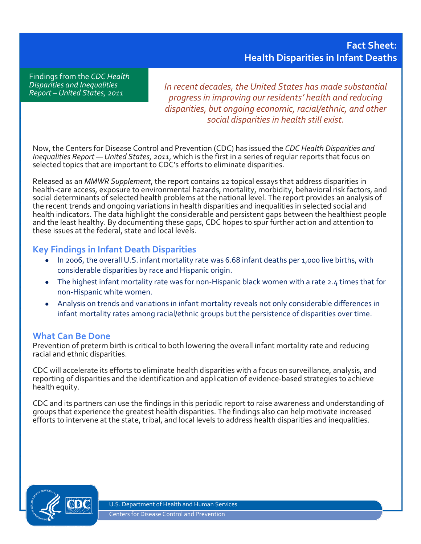Findings from the *CDC Health Disparities and Inequalities Report – United States, 2011*

*In recent decades, the United States has made substantial progress in improving our residents' health and reducing disparities, but ongoing economic, racial/ethnic, and other social disparities in health still exist.*

Now, the Centers for Disease Control and Prevention (CDC) has issued the *CDC Health Disparities and Inequalities Report — United States, 2011*, which is the first in a series of regular reports that focus on selected topics that are important to CDC's efforts to eliminate disparities.

Released as an *MMWR Supplement*, the report contains 22 topical essays that address disparities in health-care access, exposure to environmental hazards, mortality, morbidity, behavioral risk factors, and social determinants of selected health problems at the national level. The report provides an analysis of the recent trends and ongoing variations in health disparities and inequalities in selected social and health indicators. The data highlight the considerable and persistent gaps between the healthiest people and the least healthy. By documenting these gaps, CDC hopes to spur further action and attention to these issues at the federal, state and local levels.

## **Key Findings in Infant Death Disparities**

- In 2006, the overall U.S. infant mortality rate was 6.68 infant deaths per 1,000 live births, with considerable disparities by race and Hispanic origin.
- The highest infant mortality rate was for non-Hispanic black women with a rate 2.4 times that for non-Hispanic white women.
- Analysis on trends and variations in infant mortality reveals not only considerable differences in infant mortality rates among racial/ethnic groups but the persistence of disparities over time.

## **What Can Be Done**

Prevention of preterm birth is critical to both lowering the overall infant mortality rate and reducing racial and ethnic disparities.

CDC will accelerate its efforts to eliminate health disparities with a focus on surveillance, analysis, and reporting of disparities and the identification and application of evidence-based strategies to achieve health equity.

CDC and its partners can use the findings in this periodic report to raise awareness and understanding of groups that experience the greatest health disparities. The findings also can help motivate increased efforts to intervene at the state, tribal, and local levels to address health disparities and inequalities.